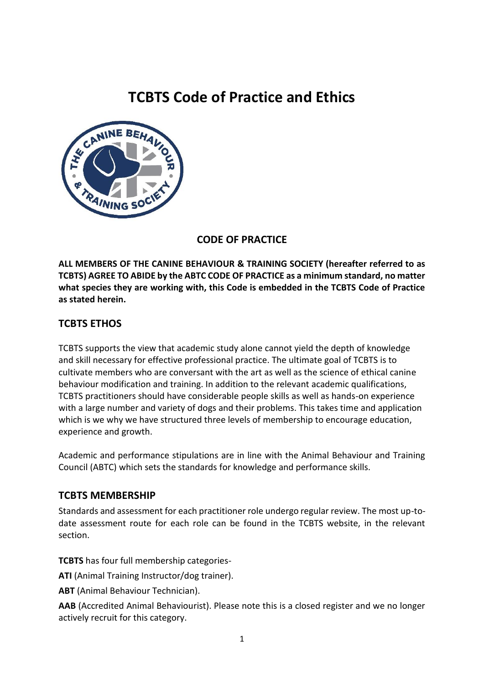# **TCBTS Code of Practice and Ethics**



# **CODE OF PRACTICE**

**ALL MEMBERS OF THE CANINE BEHAVIOUR & TRAINING SOCIETY (hereafter referred to as TCBTS) AGREE TO ABIDE by the ABTC CODE OF PRACTICE as a minimum standard, no matter what species they are working with, this Code is embedded in the TCBTS Code of Practice as stated herein.**

## **TCBTS ETHOS**

TCBTS supports the view that academic study alone cannot yield the depth of knowledge and skill necessary for effective professional practice. The ultimate goal of TCBTS is to cultivate members who are conversant with the art as well as the science of ethical canine behaviour modification and training. In addition to the relevant academic qualifications, TCBTS practitioners should have considerable people skills as well as hands-on experience with a large number and variety of dogs and their problems. This takes time and application which is we why we have structured three levels of membership to encourage education, experience and growth.

Academic and performance stipulations are in line with the Animal Behaviour and Training Council (ABTC) which sets the standards for knowledge and performance skills.

## **TCBTS MEMBERSHIP**

Standards and assessment for each practitioner role undergo regular review. The most up-todate assessment route for each role can be found in the TCBTS website, in the relevant section.

**TCBTS** has four full membership categories-

**ATI** (Animal Training Instructor/dog trainer).

**ABT** (Animal Behaviour Technician).

**AAB** (Accredited Animal Behaviourist). Please note this is a closed register and we no longer actively recruit for this category.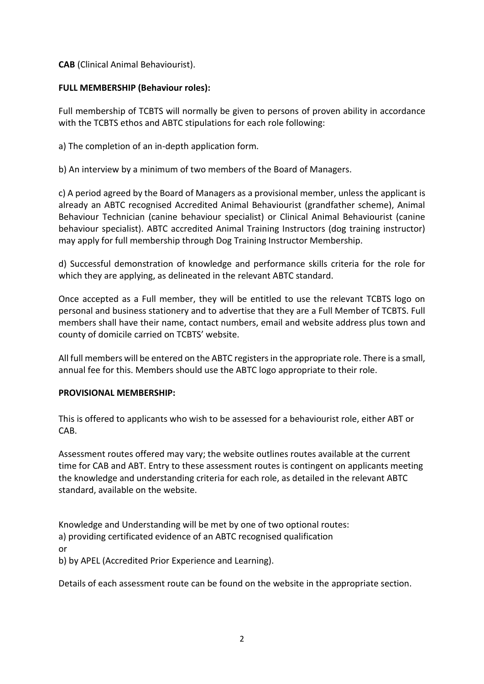**CAB** (Clinical Animal Behaviourist).

#### **FULL MEMBERSHIP (Behaviour roles):**

Full membership of TCBTS will normally be given to persons of proven ability in accordance with the TCBTS ethos and ABTC stipulations for each role following:

a) The completion of an in-depth application form.

b) An interview by a minimum of two members of the Board of Managers.

c) A period agreed by the Board of Managers as a provisional member, unless the applicant is already an ABTC recognised Accredited Animal Behaviourist (grandfather scheme), Animal Behaviour Technician (canine behaviour specialist) or Clinical Animal Behaviourist (canine behaviour specialist). ABTC accredited Animal Training Instructors (dog training instructor) may apply for full membership through Dog Training Instructor Membership.

d) Successful demonstration of knowledge and performance skills criteria for the role for which they are applying, as delineated in the relevant ABTC standard.

Once accepted as a Full member, they will be entitled to use the relevant TCBTS logo on personal and business stationery and to advertise that they are a Full Member of TCBTS. Full members shall have their name, contact numbers, email and website address plus town and county of domicile carried on TCBTS' website.

All full members will be entered on the ABTC registers in the appropriate role. There is a small, annual fee for this. Members should use the ABTC logo appropriate to their role.

#### **PROVISIONAL MEMBERSHIP:**

This is offered to applicants who wish to be assessed for a behaviourist role, either ABT or CAB.

Assessment routes offered may vary; the website outlines routes available at the current time for CAB and ABT. Entry to these assessment routes is contingent on applicants meeting the knowledge and understanding criteria for each role, as detailed in the relevant ABTC standard, available on the website.

Knowledge and Understanding will be met by one of two optional routes: a) providing certificated evidence of an ABTC recognised qualification or

b) by APEL (Accredited Prior Experience and Learning).

Details of each assessment route can be found on the website in the appropriate section.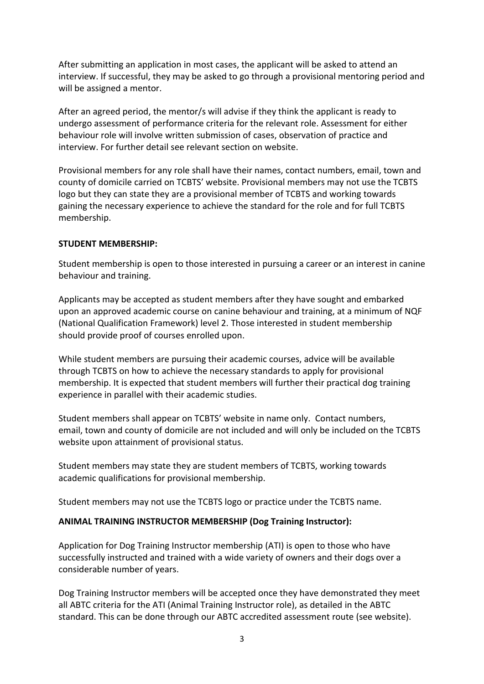After submitting an application in most cases, the applicant will be asked to attend an interview. If successful, they may be asked to go through a provisional mentoring period and will be assigned a mentor.

After an agreed period, the mentor/s will advise if they think the applicant is ready to undergo assessment of performance criteria for the relevant role. Assessment for either behaviour role will involve written submission of cases, observation of practice and interview. For further detail see relevant section on website.

Provisional members for any role shall have their names, contact numbers, email, town and county of domicile carried on TCBTS' website. Provisional members may not use the TCBTS logo but they can state they are a provisional member of TCBTS and working towards gaining the necessary experience to achieve the standard for the role and for full TCBTS membership.

#### **STUDENT MEMBERSHIP:**

Student membership is open to those interested in pursuing a career or an interest in canine behaviour and training.

Applicants may be accepted as student members after they have sought and embarked upon an approved academic course on canine behaviour and training, at a minimum of NQF (National Qualification Framework) level 2. Those interested in student membership should provide proof of courses enrolled upon.

While student members are pursuing their academic courses, advice will be available through TCBTS on how to achieve the necessary standards to apply for provisional membership. It is expected that student members will further their practical dog training experience in parallel with their academic studies.

Student members shall appear on TCBTS' website in name only. Contact numbers, email, town and county of domicile are not included and will only be included on the TCBTS website upon attainment of provisional status.

Student members may state they are student members of TCBTS, working towards academic qualifications for provisional membership.

Student members may not use the TCBTS logo or practice under the TCBTS name.

#### **ANIMAL TRAINING INSTRUCTOR MEMBERSHIP (Dog Training Instructor):**

Application for Dog Training Instructor membership (ATI) is open to those who have successfully instructed and trained with a wide variety of owners and their dogs over a considerable number of years.

Dog Training Instructor members will be accepted once they have demonstrated they meet all ABTC criteria for the ATI (Animal Training Instructor role), as detailed in the ABTC standard. This can be done through our ABTC accredited assessment route (see website).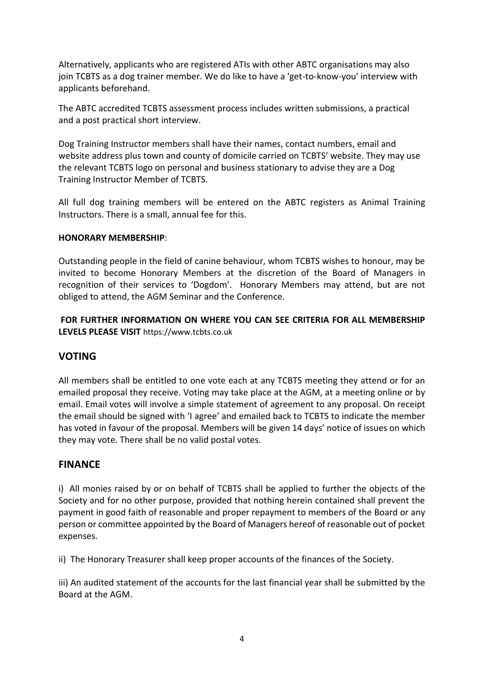Alternatively, applicants who are registered ATIs with other ABTC organisations may also join TCBTS as a dog trainer member. We do like to have a 'get-to-know-you' interview with applicants beforehand.

The ABTC accredited TCBTS assessment process includes written submissions, a practical and a post practical short interview.

Dog Training Instructor members shall have their names, contact numbers, email and website address plus town and county of domicile carried on TCBTS' website. They may use the relevant TCBTS logo on personal and business stationary to advise they are a Dog Training Instructor Member of TCBTS.

All full dog training members will be entered on the ABTC registers as Animal Training Instructors. There is a small, annual fee for this.

#### **HONORARY MEMBERSHIP**:

Outstanding people in the field of canine behaviour, whom TCBTS wishes to honour, may be invited to become Honorary Members at the discretion of the Board of Managers in recognition of their services to 'Dogdom'. Honorary Members may attend, but are not obliged to attend, the AGM Seminar and the Conference.

**FOR FURTHER INFORMATION ON WHERE YOU CAN SEE CRITERIA FOR ALL MEMBERSHIP LEVELS PLEASE VISIT** https://www.tcbts.co.uk

#### **VOTING**

All members shall be entitled to one vote each at any TCBTS meeting they attend or for an emailed proposal they receive. Voting may take place at the AGM, at a meeting online or by email. Email votes will involve a simple statement of agreement to any proposal. On receipt the email should be signed with 'I agree' and emailed back to TCBTS to indicate the member has voted in favour of the proposal. Members will be given 14 days' notice of issues on which they may vote. There shall be no valid postal votes.

#### **FINANCE**

i) All monies raised by or on behalf of TCBTS shall be applied to further the objects of the Society and for no other purpose, provided that nothing herein contained shall prevent the payment in good faith of reasonable and proper repayment to members of the Board or any person or committee appointed by the Board of Managers hereof of reasonable out of pocket expenses.

ii) The Honorary Treasurer shall keep proper accounts of the finances of the Society.

iii) An audited statement of the accounts for the last financial year shall be submitted by the Board at the AGM.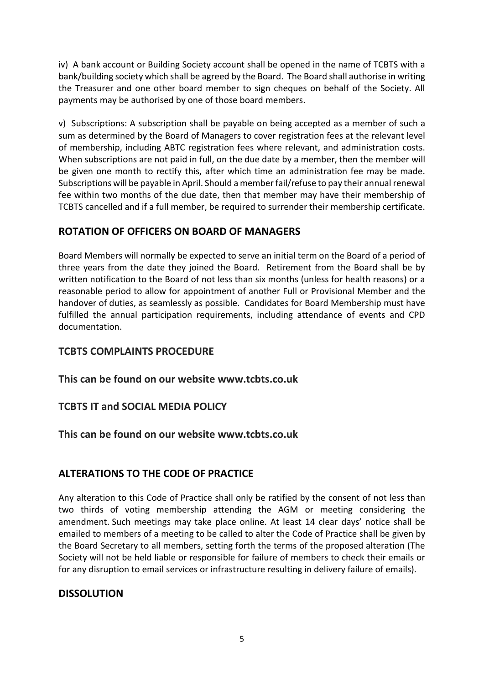iv) A bank account or Building Society account shall be opened in the name of TCBTS with a bank/building society which shall be agreed by the Board. The Board shall authorise in writing the Treasurer and one other board member to sign cheques on behalf of the Society. All payments may be authorised by one of those board members.

v) Subscriptions: A subscription shall be payable on being accepted as a member of such a sum as determined by the Board of Managers to cover registration fees at the relevant level of membership, including ABTC registration fees where relevant, and administration costs. When subscriptions are not paid in full, on the due date by a member, then the member will be given one month to rectify this, after which time an administration fee may be made. Subscriptions will be payable in April. Should a member fail/refuse to pay their annual renewal fee within two months of the due date, then that member may have their membership of TCBTS cancelled and if a full member, be required to surrender their membership certificate.

# **ROTATION OF OFFICERS ON BOARD OF MANAGERS**

Board Members will normally be expected to serve an initial term on the Board of a period of three years from the date they joined the Board. Retirement from the Board shall be by written notification to the Board of not less than six months (unless for health reasons) or a reasonable period to allow for appointment of another Full or Provisional Member and the handover of duties, as seamlessly as possible. Candidates for Board Membership must have fulfilled the annual participation requirements, including attendance of events and CPD documentation.

# **TCBTS COMPLAINTS PROCEDURE**

**This can be found on our website www.tcbts.co.uk**

## **TCBTS IT and SOCIAL MEDIA POLICY**

**This can be found on our website www.tcbts.co.uk**

## **ALTERATIONS TO THE CODE OF PRACTICE**

Any alteration to this Code of Practice shall only be ratified by the consent of not less than two thirds of voting membership attending the AGM or meeting considering the amendment. Such meetings may take place online. At least 14 clear days' notice shall be emailed to members of a meeting to be called to alter the Code of Practice shall be given by the Board Secretary to all members, setting forth the terms of the proposed alteration (The Society will not be held liable or responsible for failure of members to check their emails or for any disruption to email services or infrastructure resulting in delivery failure of emails).

## **DISSOLUTION**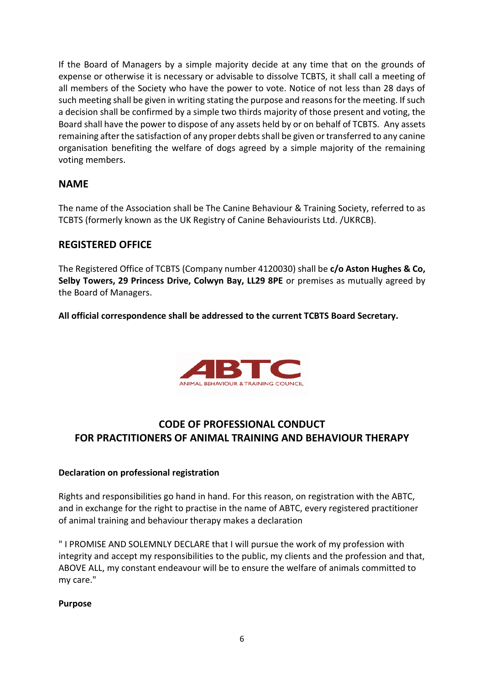If the Board of Managers by a simple majority decide at any time that on the grounds of expense or otherwise it is necessary or advisable to dissolve TCBTS, it shall call a meeting of all members of the Society who have the power to vote. Notice of not less than 28 days of such meeting shall be given in writing stating the purpose and reasons for the meeting. If such a decision shall be confirmed by a simple two thirds majority of those present and voting, the Board shall have the power to dispose of any assets held by or on behalf of TCBTS. Any assets remaining after the satisfaction of any proper debts shall be given or transferred to any canine organisation benefiting the welfare of dogs agreed by a simple majority of the remaining voting members.

# **NAME**

The name of the Association shall be The Canine Behaviour & Training Society, referred to as TCBTS (formerly known as the UK Registry of Canine Behaviourists Ltd. /UKRCB).

## **REGISTERED OFFICE**

The Registered Office of TCBTS (Company number 4120030) shall be **c/o Aston Hughes & Co, Selby Towers, 29 Princess Drive, Colwyn Bay, LL29 8PE** or premises as mutually agreed by the Board of Managers.

**All official correspondence shall be addressed to the current TCBTS Board Secretary.**



# **CODE OF PROFESSIONAL CONDUCT FOR PRACTITIONERS OF ANIMAL TRAINING AND BEHAVIOUR THERAPY**

#### **Declaration on professional registration**

Rights and responsibilities go hand in hand. For this reason, on registration with the ABTC, and in exchange for the right to practise in the name of ABTC, every registered practitioner of animal training and behaviour therapy makes a declaration

" I PROMISE AND SOLEMNLY DECLARE that I will pursue the work of my profession with integrity and accept my responsibilities to the public, my clients and the profession and that, ABOVE ALL, my constant endeavour will be to ensure the welfare of animals committed to my care."

#### **Purpose**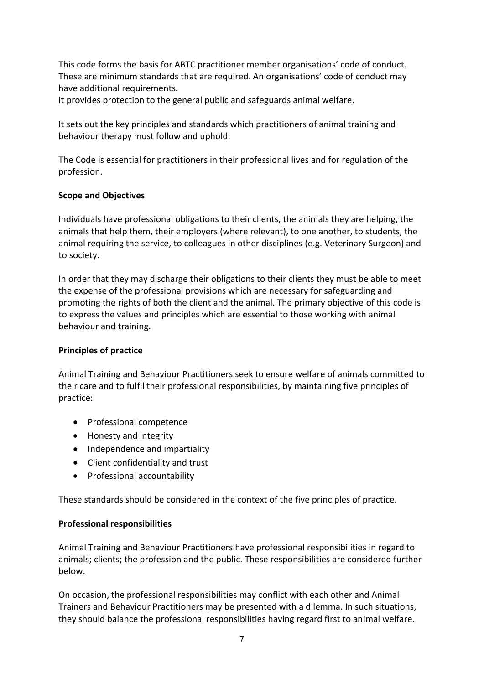This code forms the basis for ABTC practitioner member organisations' code of conduct. These are minimum standards that are required. An organisations' code of conduct may have additional requirements*.* 

It provides protection to the general public and safeguards animal welfare.

It sets out the key principles and standards which practitioners of animal training and behaviour therapy must follow and uphold.

The Code is essential for practitioners in their professional lives and for regulation of the profession.

#### **Scope and Objectives**

Individuals have professional obligations to their clients, the animals they are helping, the animals that help them, their employers (where relevant), to one another, to students, the animal requiring the service, to colleagues in other disciplines (e.g. Veterinary Surgeon) and to society.

In order that they may discharge their obligations to their clients they must be able to meet the expense of the professional provisions which are necessary for safeguarding and promoting the rights of both the client and the animal. The primary objective of this code is to express the values and principles which are essential to those working with animal behaviour and training.

#### **Principles of practice**

Animal Training and Behaviour Practitioners seek to ensure welfare of animals committed to their care and to fulfil their professional responsibilities, by maintaining five principles of practice:

- Professional competence
- Honesty and integrity
- Independence and impartiality
- Client confidentiality and trust
- Professional accountability

These standards should be considered in the context of the five principles of practice.

#### **Professional responsibilities**

Animal Training and Behaviour Practitioners have professional responsibilities in regard to animals; clients; the profession and the public. These responsibilities are considered further below.

On occasion, the professional responsibilities may conflict with each other and Animal Trainers and Behaviour Practitioners may be presented with a dilemma. In such situations, they should balance the professional responsibilities having regard first to animal welfare.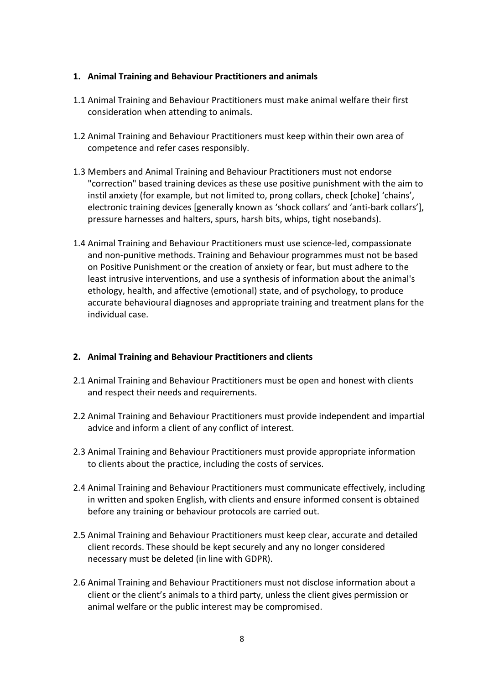#### **1. Animal Training and Behaviour Practitioners and animals**

- 1.1 Animal Training and Behaviour Practitioners must make animal welfare their first consideration when attending to animals.
- 1.2 Animal Training and Behaviour Practitioners must keep within their own area of competence and refer cases responsibly.
- 1.3 Members and Animal Training and Behaviour Practitioners must not endorse "correction" based training devices as these use positive punishment with the aim to instil anxiety (for example, but not limited to, prong collars, check [choke] 'chains', electronic training devices [generally known as 'shock collars' and 'anti-bark collars'], pressure harnesses and halters, spurs, harsh bits, whips, tight nosebands).
- 1.4 Animal Training and Behaviour Practitioners must use science-led, compassionate and non-punitive methods. Training and Behaviour programmes must not be based on Positive Punishment or the creation of anxiety or fear, but must adhere to the least intrusive interventions, and use a synthesis of information about the animal's ethology, health, and affective (emotional) state, and of psychology, to produce accurate behavioural diagnoses and appropriate training and treatment plans for the individual case.

#### **2. Animal Training and Behaviour Practitioners and clients**

- 2.1 Animal Training and Behaviour Practitioners must be open and honest with clients and respect their needs and requirements.
- 2.2 Animal Training and Behaviour Practitioners must provide independent and impartial advice and inform a client of any conflict of interest.
- 2.3 Animal Training and Behaviour Practitioners must provide appropriate information to clients about the practice, including the costs of services.
- 2.4 Animal Training and Behaviour Practitioners must communicate effectively, including in written and spoken English, with clients and ensure informed consent is obtained before any training or behaviour protocols are carried out.
- 2.5 Animal Training and Behaviour Practitioners must keep clear, accurate and detailed client records. These should be kept securely and any no longer considered necessary must be deleted (in line with GDPR).
- 2.6 Animal Training and Behaviour Practitioners must not disclose information about a client or the client's animals to a third party, unless the client gives permission or animal welfare or the public interest may be compromised.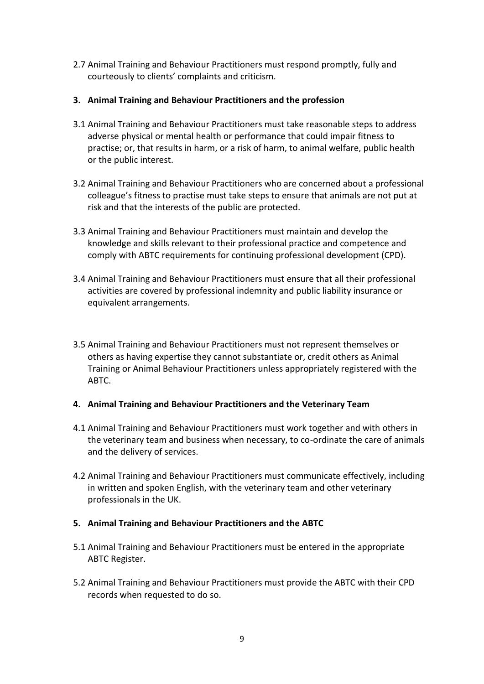- 2.7 Animal Training and Behaviour Practitioners must respond promptly, fully and courteously to clients' complaints and criticism.
- **3. Animal Training and Behaviour Practitioners and the profession**
- 3.1 Animal Training and Behaviour Practitioners must take reasonable steps to address adverse physical or mental health or performance that could impair fitness to practise; or, that results in harm, or a risk of harm, to animal welfare, public health or the public interest.
- 3.2 Animal Training and Behaviour Practitioners who are concerned about a professional colleague's fitness to practise must take steps to ensure that animals are not put at risk and that the interests of the public are protected.
- 3.3 Animal Training and Behaviour Practitioners must maintain and develop the knowledge and skills relevant to their professional practice and competence and comply with ABTC requirements for continuing professional development (CPD).
- 3.4 Animal Training and Behaviour Practitioners must ensure that all their professional activities are covered by professional indemnity and public liability insurance or equivalent arrangements.
- 3.5 Animal Training and Behaviour Practitioners must not represent themselves or others as having expertise they cannot substantiate or, credit others as Animal Training or Animal Behaviour Practitioners unless appropriately registered with the ABTC.

#### **4. Animal Training and Behaviour Practitioners and the Veterinary Team**

- 4.1 Animal Training and Behaviour Practitioners must work together and with others in the veterinary team and business when necessary, to co-ordinate the care of animals and the delivery of services.
- 4.2 Animal Training and Behaviour Practitioners must communicate effectively, including in written and spoken English, with the veterinary team and other veterinary professionals in the UK.

#### **5. Animal Training and Behaviour Practitioners and the ABTC**

- 5.1 Animal Training and Behaviour Practitioners must be entered in the appropriate ABTC Register.
- 5.2 Animal Training and Behaviour Practitioners must provide the ABTC with their CPD records when requested to do so.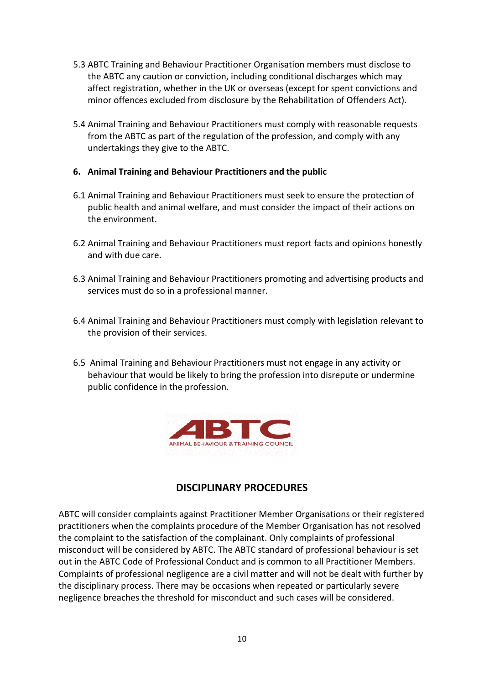- 5.3 ABTC Training and Behaviour Practitioner Organisation members must disclose to the ABTC any caution or conviction, including conditional discharges which may affect registration, whether in the UK or overseas (except for spent convictions and minor offences excluded from disclosure by the Rehabilitation of Offenders Act).
- 5.4 Animal Training and Behaviour Practitioners must comply with reasonable requests from the ABTC as part of the regulation of the profession, and comply with any undertakings they give to the ABTC.
- **6. Animal Training and Behaviour Practitioners and the public**
- 6.1 Animal Training and Behaviour Practitioners must seek to ensure the protection of public health and animal welfare, and must consider the impact of their actions on the environment.
- 6.2 Animal Training and Behaviour Practitioners must report facts and opinions honestly and with due care.
- 6.3 Animal Training and Behaviour Practitioners promoting and advertising products and services must do so in a professional manner.
- 6.4 Animal Training and Behaviour Practitioners must comply with legislation relevant to the provision of their services.
- 6.5 Animal Training and Behaviour Practitioners must not engage in any activity or behaviour that would be likely to bring the profession into disrepute or undermine public confidence in the profession.



## **DISCIPLINARY PROCEDURES**

ABTC will consider complaints against Practitioner Member Organisations or their registered practitioners when the complaints procedure of the Member Organisation has not resolved the complaint to the satisfaction of the complainant. Only complaints of professional misconduct will be considered by ABTC. The ABTC standard of professional behaviour is set out in the ABTC Code of Professional Conduct and is common to all Practitioner Members. Complaints of professional negligence are a civil matter and will not be dealt with further by the disciplinary process. There may be occasions when repeated or particularly severe negligence breaches the threshold for misconduct and such cases will be considered.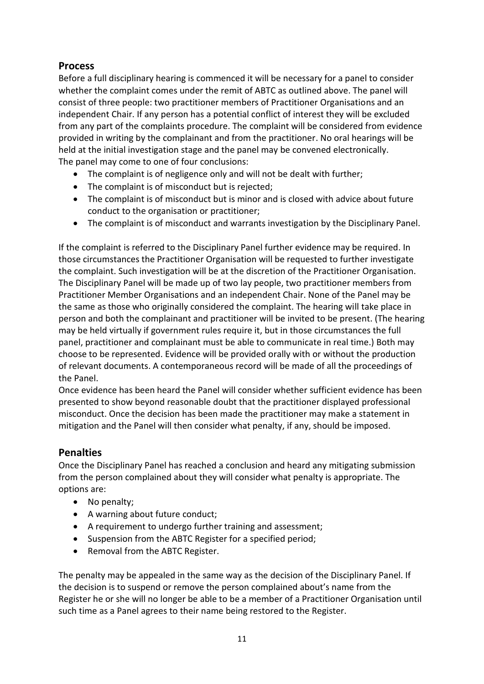# **Process**

Before a full disciplinary hearing is commenced it will be necessary for a panel to consider whether the complaint comes under the remit of ABTC as outlined above. The panel will consist of three people: two practitioner members of Practitioner Organisations and an independent Chair. If any person has a potential conflict of interest they will be excluded from any part of the complaints procedure. The complaint will be considered from evidence provided in writing by the complainant and from the practitioner. No oral hearings will be held at the initial investigation stage and the panel may be convened electronically. The panel may come to one of four conclusions:

- The complaint is of negligence only and will not be dealt with further;
- The complaint is of misconduct but is rejected;
- The complaint is of misconduct but is minor and is closed with advice about future conduct to the organisation or practitioner;
- The complaint is of misconduct and warrants investigation by the Disciplinary Panel.

If the complaint is referred to the Disciplinary Panel further evidence may be required. In those circumstances the Practitioner Organisation will be requested to further investigate the complaint. Such investigation will be at the discretion of the Practitioner Organisation. The Disciplinary Panel will be made up of two lay people, two practitioner members from Practitioner Member Organisations and an independent Chair. None of the Panel may be the same as those who originally considered the complaint. The hearing will take place in person and both the complainant and practitioner will be invited to be present. (The hearing may be held virtually if government rules require it, but in those circumstances the full panel, practitioner and complainant must be able to communicate in real time.) Both may choose to be represented. Evidence will be provided orally with or without the production of relevant documents. A contemporaneous record will be made of all the proceedings of the Panel.

Once evidence has been heard the Panel will consider whether sufficient evidence has been presented to show beyond reasonable doubt that the practitioner displayed professional misconduct. Once the decision has been made the practitioner may make a statement in mitigation and the Panel will then consider what penalty, if any, should be imposed.

# **Penalties**

Once the Disciplinary Panel has reached a conclusion and heard any mitigating submission from the person complained about they will consider what penalty is appropriate. The options are:

- No penalty;
- A warning about future conduct;
- A requirement to undergo further training and assessment;
- Suspension from the ABTC Register for a specified period;
- Removal from the ABTC Register.

The penalty may be appealed in the same way as the decision of the Disciplinary Panel. If the decision is to suspend or remove the person complained about's name from the Register he or she will no longer be able to be a member of a Practitioner Organisation until such time as a Panel agrees to their name being restored to the Register.